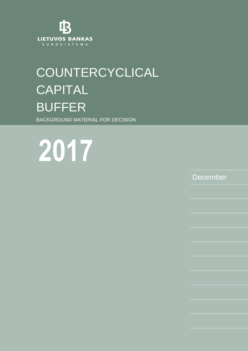

# **COUNTERCYCLICAL** CAPITAL BUFFER BACKGROUND MATERIAL FOR DECISION

**2013 m. 2017**

December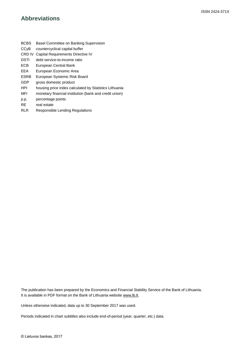## **Abbreviations**

- BCBS Basel Committee on Banking Supervision
- CCyB countercyclical capital buffer
- CRD IV Capital Requirements Directive IV
- DSTI debt service-to-income ratio
- ECB European Central Bank
- EEA European Economic Area
- ESRB European Systemic Risk Board
- GDP gross domestic product
- HPI housing price index calculated by Statistics Lithuania
- MFI monetary financial institution (bank and credit union)
- p.p. percentage points
- RE real estate
- RLR Responsible Lending Regulations

The publication has been prepared by the Economics and Financial Stability Service of the Bank of Lithuania. It is available in PDF format on the Bank of Lithuania website [www.lb.lt.](http://www.lb.lt/)

Unless otherwise indicated, data up to 30 September 2017 was used.

Periods indicated in chart subtitles also include end-of-period (year, quarter, etc.) data.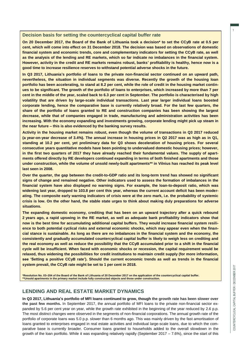#### **Decision basis for setting the countercyclical capital buffer rate**

**On 20 December 2017, the Board of the Bank of Lithuania took a decision\* to set the CCyB rate at 0.5 per cent, which will come into effect on 31 December 2018. The decision was based on observations of domestic financial system and economic trends, core and complementary indicators for setting the CCyB rate, as well as the analysis of the lending and RE markets, which so far indicate no imbalances in the financial system. However, activity in the credit and RE markets remains robust, banks' profitability is healthy, hence now is a good time to increase resilience reserves to withstand potential adverse shocks in the future.** 

**In Q3 2017, Lithuania's portfolio of loans to the private non-financial sector continued on an upward path, nevertheless, the situation in individual segments was diverse. Recently the growth of the housing loan portfolio has been accelerating, to stand at 8.2 per cent, while the role of credit in the housing market continues to be significant. The growth of the portfolio of loans to enterprises, which increased by more than 7 per cent in the middle of the year, scaled back to 6.3 per cent in September. The portfolio is characterised by high volatility that are driven by large-scale individual transactions. Last year larger individual loans boosted corporate lending, hence the comparative base is currently relatively broad. For the last few quarters, the share of the portfolio of loans granted to RE and construction companies has been showing the largest decrease, while that of companies engaged in trade, manufacturing and administration activities has been increasing. With the economy expanding and investments growing, corporate lending might pick up steam in the near future – this is also evidenced by the banking survey results.**

**Activity in the housing market remains robust, even though the volume of transactions in Q3 2017 reduced (a year-on-year decrease of 3.4%). The annual increase in housing prices in Q2 2017 was as high as in Q1, standing at 10.2 per cent, yet preliminary data for Q3 shows deceleration of housing prices. For several consecutive years quantitative models have been pointing to undervalued domestic housing prices; however, in the first two quarters of 2017 they have already reached their fundamental values. The supply of apartments offered directly by RE developers continued expanding in terms of both finished apartments and those under construction, while the volume of unsold newly-built apartments\*\* in Vilnius has reached its peak level last seen in 2008.** 

**Over the quarter, the gap between the credit-to-GDP ratio and its long-term trend has showed no significant signs of change and remained negative. Other indicators used to assess the formation of imbalances in the financial system have also displayed no warning signs. For example, the loan-to-deposit ratio, which was widening last year, dropped to 103.8 per cent this year, whereas the current account deficit has been moderating. The composite early warning indicators of crisis were at the zero mark, i.e. the probability of systemic crisis is low. On the other hand, the stable state urges to think about making duly preparations for adverse situations.**

**The expanding domestic economy, crediting that has been on an upward trajectory after a quick rebound 2 years ago, a rapid upswing in the RE market, as well as adequate bank profitability indicators show that now is the best time for accumulating additional capital buffers. They would increase financial system resilience to both potential cyclical risks and external economic shocks, which may appear even when the financial stance is sustainable. As long as there are no imbalances in the financial system and the economy, the consistently and gradually accumulated countercyclical capital buffer is likely to weigh less on crediting and the real economy as well as reduce the possibility that the CCyB accumulated prior to a shift in the financial cycle will be insufficient. When faced with economic shocks or recession, the capital requirement would be relaxed, thus widening the possibilities for credit institutions to maintain credit supply (for more information, see 'Setting a positive CCyB rate'). Should the current economic trends as well as trends in the financial system prevail, the CCyB rate might be set to 1 per cent in 2018.**

**\*Resolution No. 03–204 of the Board of the Bank of Lithuania of 20 December 2017 on the application of the countercyclical capital buffer. \*\*Unsold apartments in the primary market include fully constructed objects and those under construction.**

## **LENDING AND REAL ESTATE MARKET DYNAMICS**

**In Q3 2017, Lithuania's portfolio of MFI loans continued to grow, though the growth rate has been slower over the past few months.** In September 2017, the annual portfolio of MFI loans to the private non-financial sector expanded by 5.6 per cent year on year, while the growth rate exhibited in the beginning of the year reduced by 2.6 p.p. The most distinct changes were observed in the segments of non-financial corporations. The annual growth rate of the portfolio of corporate loans was 5.0 p.p. slower than 6 months ago. This was mainly driven by the fast amortisation of loans granted to enterprises engaged in real estate activities and individual large-scale loans, due to which the comparative base is currently broader. Consumer loans granted to households added to the overall slowdown in the growth of the loan portfolio. While it was expanding relatively rapidly (September  $2017 - 7.6\%$ ), since the start of this 1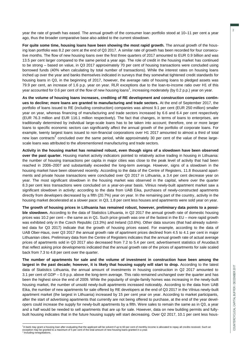year the rate of growth has eased. The annual growth of the consumer loan portfolio stood at 10–11 per cent a year ago, thus the broader comparative base also added to the current slowdown.

**For quite some time, housing loans have been showing the most rapid growth.** The annual growth of the housing loan portfolio was 8.2 per cent at the end of Q3 2017. A similar rate of growth has been recorded for four consecutive months. The flow of new housing loans over the first three quarters of 2017 amounted to EUR 0.9 billion and was 13.5 per cent larger compared to the same period a year ago. The role of credit in the housing market has continued to be strong – based on value, in Q3 2017 approximately 70 per cent of housing transactions were concluded using borrowed funds (40% when calculating by total number of transactions). While the interest rates on housing loans inched up over the year and banks themselves indicated in surveys that they somewhat tightened credit standards for housing loans in Q3, in the beginning of 2017, however, the average ratio of housing loans to pledged assets was 79.9 per cent, an increase of 1.6 p.p. year on year. RLR exceptions due to the loan-to-income ratio over H1 of this year accounted for 0.6 per cent of the flow of new housing loans<sup>1</sup>, increasing moderately (by 0.2 p.p.) year on year.

**As the volume of housing loans increases, crediting of RE development and construction companies continues to decline; more loans are granted to manufacturing and trade sectors.** At the end of September 2017, the portfolio of loans issued to RE (including construction) companies was almost 9.1 per cent (EUR 250 million) smaller year on year, whereas financing of manufacturing and trade sectors increased by 6.6 and 6.4 per cent respectively (EUR 76.3 million and EUR 116.1 million respectively). The fact that changes, in terms of loans to enterprises, are traditionally determined by individual large-scale loans has to be taken into account; therefore, one or more larger loans to specific economic sectors can significantly affect the annual growth of the portfolio of corporate loans. For example, twenty largest loans issued to non-financial corporations over H1 2017 amounted to almost a third of total new loan contracts<sup>2</sup> concluded over the same period, while approximately 30 per cent of the value of these largescale loans was attributed to the aforementioned manufacturing and trade sectors.

**Activity in the housing market has remained robust, even though signs of a slowdown have been observed over the past quarter.** Housing market activity indicators pointed to relatively active trading in housing in Lithuania: the number of housing transactions per capita in major cities was close to the peak level of activity that had been reached in 2006–2007 and substantially exceeded the long-term average. However, signs of a slowdown in the housing market have been observed recently. According to the data of the Centre of Registers, 11.8 thousand apartments and private house transactions were concluded over Q3 2017 in Lithuania, a 3.4 per cent decrease year on year. The most significant slowdown in the housing market was observed in the capital, where over the quarter 8.3 per cent less transactions were concluded on a year-on-year basis. Vilnius newly-built apartment market saw a significant slowdown in activity: according to the data from UAB Eika, purchases of newly-constructed apartments directly from developers decreased by a fifth (20.7%) year on year. In the remaining part of the country, activity in the housing market decelerated at a slower pace: in Q3, 1.8 per cent less houses and apartments were sold year on year.

**The growth of housing prices in Lithuania has remained robust, however, preliminary data points to a possible slowdown.** According to the data of Statistics Lithuania, in Q2 2017 the annual growth rate of domestic housing prices was 10.2 per cent – the same as in Q1. Such price growth was one of the fastest in the EU – more rapid growth was exhibited only in the Czech Republic (13.3%) and Ireland (10.6%). Other data sources (that had already submitted data for Q3 2017) indicate that the growth of housing prices eased. For example, according to the data of UAB Ober-Haus, over Q3 2017 the annual growth rate of apartment prices declined from 4.5 to 4.1 per cent in major Lithuanian cities. Preliminary data from the Centre of Registers indicates that the annual growth rate of actual average prices of apartments sold in Q3 2017 also decreased from 7.2 to 5.4 per cent; advertisement statistics of Aruodas.lt that reflect asking price developments indicated that the annual growth rate of the prices of apartments for sale scaled back from 7.3 to 4.8 per cent over the quarter.

**The number of apartments for sale and the volume of investment in construction have been among the**  largest in the past decade; however, it is likely that housing supply will start to drop. According to the latest data of Statistics Lithuania, the annual amount of investments in housing construction in Q2 2017 amounted to 3.1 per cent of GDP – 0.9 p.p. above the long-term average. This ratio remained unchanged over the quarter and has been the highest since the end of 2009. While the popularity of single-family homes was increasing in the newly-built housing market, the number of unsold newly-built apartments increased noticeably. According to the data from UAB Eika, the number of new apartments for sale offered by RE developers at the end of Q3 2017 in the Vilnius newly-built apartment market (the largest in Lithuania) increased by 15 per cent year on year. According to market participants, after the start of advertising apartments that currently are not being offered to purchase, at the end of the year developers could increase the supply for newly-built apartments by a fifth. Were sales to remain the same as in Q3, a year and a half would be needed to sell apartments that are up for sale. However, data on new building permits and fullybuilt housing indicates that in the future housing supply will start decreasing. Over Q2 2017, 10.1 per cent less hous-

 $\overline{a}$ 

2

 $1_A$  bank may grant a housing loan after evaluating that the applicant will be solvent if up to 60 per cent of monthly income is allocated to repay all credits received. Such an exception may be granted to a maximum of 5 per cent of the total amount of new housing loans granted in a year.<br><sup>2</sup> Including repognistions Including renegotiations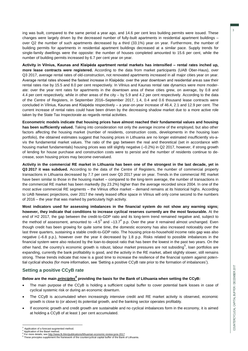ing was built, compared to the same period a year ago, and 14.6 per cent less building permits were issued. These changes were largely driven by the decreased number of fully-built apartments in residential apartment buildings – over Q2 the number of such apartments decreased by a third (33.1%) year on year. Furthermore, the number of building permits for apartments in residential apartment buildings decreased at a similar pace. Supply trends for single-family dwellings were the opposite: the number of houses completed amounted to 15.6 per cent, while the number of building permits increased by 6.7 per cent year on year.

**Activity in Vilnius, Kaunas and Klaipėda apartment rental markets has intensified – rental rates inched up, more lease contracts were registered.** According to the data from market participants (UAB Ober-Haus), over Q3 2017, average rental rates of old-construction, not renovated apartments increased in all major cities year on year. Average rental rates showed the fastest increase in Klaipėda: over the year downtown and residential areas saw their rental rates rise by 15.5 and 8.0 per cent respectively. In Vilnius and Kaunas rental rate dynamics were more moderate: over the year rent rates for apartments in the downtown area of these cities grew, on average, by 0.8 and 4.4 per cent respectively, while in other areas of the city – by 5.9 and 4.2 per cent respectively. According to the data of the Centre of Registers, in September 2016–September 2017, 1.4, 0.4 and 0.6 thousand lease contracts were concluded in Vilnius, Kaunas and Klaipėda respectively – a year-on-year increase of 46.4, 2.1 and 12.9 per cent. The current increase of rental rates could have been driven by the decreasing shadow market due to a more active role taken by the State Tax Inspectorate as regards rental activities.

**Econometric models indicate that housing prices have almost reached their fundamental values and housing has been sufficiently valued.** Taking into consideration not only the average income of the employed, but also other factors affecting the housing market (number of residents, construction costs, developments in the housing loan portfolio), the obtained estimates suggest that housing prices in Lithuania are no longer estimated insufficiently vis-avis the fundamental market values. The ratio of the gap between the real and theoretical (set in accordance with housing market fundamentals) housing prices was still slightly negative (-0.2%) in Q2 2017, however, if strong growth of lending for house purchase and construction costs were to persist and the number of residents continue to decrease, soon housing prices may become overvalued.

**Activity in the commercial RE market in Lithuania has been one of the strongest in the last decade, yet in Q3 2017 it was subdued.** According to the data of the Centre of Registers, the number of commercial property transactions in Lithuania decreased by 7.7 per cent over Q3 2017 year on year. Trends in the commercial RE market have been similar to those in the housing market – compared to the long-term average, the number of transactions in the commercial RE market has been markedly (by 23.2%) higher than the average recorded since 2004. In one of the most active commercial RE segments – the Vilnius office market – demand remains at its historical highs. According to UAB Newsec projections, over 2017 the newly leased office space in Vilnius will only come second to the numbers of 2016 – the year that was marked by particularly high activity.

**Most indicators used for assessing imbalances in the financial system do not show any warning signs; however, they indicate that conditions to increase cyclical reserves currently are the most favourable.** At the end of H2 2017, the gap between the credit-to-GDP ratio and its long-term trend remained negative and, subject to the method of assessment, amounted to  $-4.5^3$  and  $-13.7^4$  p.p. Over the year it remained almost unchanged. Even though credit has been growing for quite some time, the domestic economy has also increased noticeably over the last three quarters, sustaining a stable credit-to-GDP ratio. The housing price-to-household income ratio gap was also negative (–6.8 p.p.), however over the year it decreased by 1.8 p.p. Risks related to possible imbalances in the financial system were also reduced by the loan-to-deposit ratio that has been the lowest in the past two years. On the other hand, the country's economic growth is robust, labour market pressures are not subsiding<sup>5</sup>, loan portfolios are expanding, currently the bank profitability is good, and the activity in the RE market, albeit slightly slower, still remains strong. These trends indicate that now is a good time to increase the resilience of the financial system against potential cyclical shocks (for more information, see 'Setting a positive CCyB rate prior to the formation of imbalances').

## **Setting a positive CCyB rate**

## **Below are the main** *principles<sup>6</sup>* **providing the basis for the Bank of Lithuania when setting the CCyB:**

- The main purpose of the CCyB is holding a sufficient capital buffer to cover potential bank losses in case of cyclical systemic risk or during an economic downturn.
- The CCyB is accumulated when increasingly intensive credit and RE market activity is observed, economic growth is close to (or above) its potential growth, and the banking sector operates profitably.
- If economic growth and credit growth are sustainable and no cyclical imbalances form in the economy, it is aimed at holding a CCyB of at least 1 per cent accumulated.

 $\overline{a}$ Application of a forecast-augmented method.

Application of the Basel method. 5

For more details, see <http://www.lb.lt/en/publications/lithuanian-economic-review-june-2017> 6 These principles supplement the framework of the countercyclical capital buffer of the Bank of Lithuania.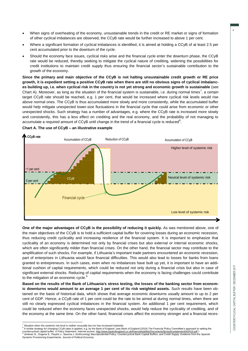- When signs of overheating of the economy, unsustainable trends in the credit or RE market or signs of formation of other cyclical imbalances are observed, the CCyB rate would be further increased to above 1 per cent.
- Where a significant formation of cyclical imbalances is identified, it is aimed at holding a CCyB of at least 2.5 per cent accumulated prior to the downturn of the cycle.
- Should the economy face issues, cyclical risks arise and the financial cycle enter the downturn phase, the CCyB rate would be reduced, thereby seeking to mitigate the cyclical nature of crediting, widening the possibilities for credit institutions to maintain credit supply thus ensuring the financial sector's sustainable contribution to the growth of the economy.

**Since the primary and main objective of the CCyB is not halting unsustainable credit growth or RE price growth, it is expedient setting a positive CCyB rate when there are still no obvious signs of cyclical imbalances building up, i.e. when cyclical risk in the country is not yet strong and economic growth is sustainable** (see Chart A). Moreover, as long as the situation of the financial system is sustainable, i.e. during normal times<sup>7</sup>, a certain target CCyB rate should be reached, e.g. 1 per cent, that would be increased where cyclical risk levels would rise above normal ones. The CCyB is thus accumulated more slowly and more consistently, while the accumulated buffer would help mitigate unexpected lower-size fluctuations in the financial cycle that could arise from economic or other unexpected shocks. Such strategy has a number of advantages, e.g. where the CCyB rate is increased more slowly and consistently, this has a less effect on crediting and the real economy, and the probability of not managing to accumulate a required amount of CCyB until change in the trend of a financial cycle is reduced<sup>8</sup>.



#### **Chart A. The use of CCyB – an illustrative example**

**One of the major advantages of CCyB is the possibility of reducing it quickly.** As was mentioned above, one of the main objectives of the CCyB is to hold a sufficient capital buffer for covering losses during an economic recession, thus reducing credit cyclicality and increasing resilience of the financial system. It is important to emphasize that cyclicality of an economy is determined not only by financial crises but also external or internal economic shocks, which are often significantly milder than financial crises. On the other hand, the financial sector may contribute to the amplification of such shocks. For example, if Lithuania's important trade partners encountered an economic recession, part of enterprises in Lithuania would face financial difficulties. This would also lead to losses for banks from loans granted to entrepreneurs. In such cases, even when no imbalances have built up yet, it is important to have an additional cushion of capital requirements, which could be reduced not only during a financial crisis but also in case of significant external shocks. Reducing of capital requirements when the economy is facing challenges could contribute to the mitigation of an economic cycle.<sup>9</sup>

**Based on the results of the Bank of Lithuania's stress testing, the losses of the banking sector from economic downturns would amount to an average 1 per cent of its risk weighted assets.** Such results have been obtained on the basis of historical data, which shows that average economic downturns usually amount to up to 2 per cent of GDP. Hence, a CCyB rate of 1 per cent could be the rate to be aimed at during normal times, when there are still no clearly expressed cyclical imbalances in the financial system. An additional 1 per cent requirement, which could be reduced when the economy faces unexpected shocks, would help reduce the cyclicality of crediting, and of the economy at the same time. On the other hand, financial crises affect the economy stronger and a financial reces-

 $\overline{a}$ Situation when the systemic risk level is neither unusually low nor has increased markedly.

<sup>&</sup>lt;sup>8</sup> A similar strategy for changing CCyB rates is applied, e.g. by the Bank of England. (see Bank of England (2016) The Financial Policy Committee's approach to setting the Counterpart of the Sank of England (2016) The Fin Jiménez G., Ongena S., Peydró J., Saurina J. (*forthcoming*) Macroprudential Policy, Countercyclical Bank Capital Buffers, and Credit Supply: Evidence from the Spanish

Dynamic Provisioning Experiments. *Journal of Political Economy*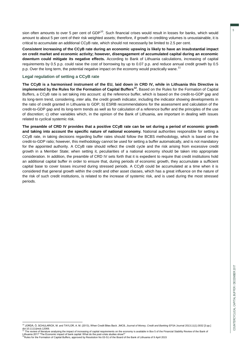sion often amounts to over 5 per cent of GDP<sup>10</sup>. Such financial crises would result in losses for banks, which would amount to about 5 per cent of their risk weighted assets; therefore, if growth in crediting volumes is unsustainable, it is critical to accumulate an additional CCyB rate, which should not necessarily be limited to 2.5 per cent.

**Consistent increasing of the CCyB rate during an economic upswing is likely to have an insubstantial impact on credit market and economic activity; however, disengagement of accumulated capital during an economic downturn could mitigate its negative effects.** According to Bank of Lithuania calculations, increasing of capital requirements by 0.5 p.p. could raise the cost of borrowing by up to 0.07 p.p. and reduce annual credit growth by 0.5 p.p. Over the long term, the potential negative impact on the economy would practically wane.<sup>11</sup>

#### **Legal regulation of setting a CCyB rate**

**The CCyB is a harmonised instrument of the EU, laid down in CRD IV, while in Lithuania this Directive is**  implemented by the Rules for the Formation of Capital Buffers<sup>12</sup>. Based on the Rules for the Formation of Capital Buffers, a CCyB rate is set taking into account: a) the reference buffer, which is based on the credit-to-GDP gap and its long-term trend, considering, *inter alia,* the credit growth indicator, including the indicator showing developments in the ratio of credit granted in Lithuania to GDP; b) ESRB recommendations for the assessment and calculation of the credit-to-GDP gap and its long-term trends as well as for calculation of a reference buffer and the principles of the use of discretion; c) other variables which, in the opinion of the Bank of Lithuania, are important in dealing with issues related to cyclical systemic risk.

**The preamble of CRD IV provides that a positive CCyB rate can be set during a period of economic growth and taking into account the specific nature of national economy.** National authorities responsible for setting a CCyB rate, in taking decisions regarding buffer rates should follow the BCBS methodology, which is based on the credit-to-GDP ratio; however, this methodology cannot be used for setting a buffer automatically, and is not mandatory for the appointed authority. A CCyB rate should reflect the credit cycle and the risk arising from excessive credit growth in a Member State; when setting it, peculiarities of a national economy should be taken into appropriate consideration. In addition, the preamble of CRD IV sets forth that it is expedient to require that credit institutions hold an additional capital buffer in order to ensure that, during periods of economic growth, they accumulate a sufficient capital base to cover losses incurred during stressed periods. A CCyB could be accumulated at a time when it is considered that general growth within the credit and other asset classes, which has a great influence on the nature of the risk of such credit institutions, is related to the increase of systemic risk, and is used during the most stressed periods.

 <sup>10</sup> JORDÀ, Ò, SCHULARICK, M. and TAYLOR, A. M. (2013), When Credit Bites Back. JMCB, *Journal of Money, Credit and Banking* EFSA Journal 2013;11(1):3032 [3 pp.] doi:10.1111/jmcb.12069.<br><sup>11</sup> The review of literature analysing the impact of increasing of capital requirements on the economy is available in Box 5 of the Financial Stability Review of the Bank of

Lithuania 2017 "The Economic impact of bank capital: What do the post-crisis studies show?"<br><sup>12</sup>Rules for the Formation of Capital Buffers, approved by Resolution No 03-51 of the Board of the Bank of Lithuania of 9 April 2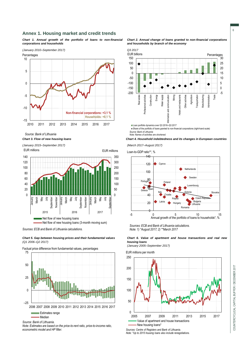#### **Annex 1. Housing market and credit trends**

*Chart 1. Annual growth of the portfolio of loans to non-financial corporations and households*

*(January 2010–September 2017)*



*Source: Bank of Lithuania*

*Chart 3. Flow of new housing loans*

*(January 2015–September 2017)* EUR millions



*Sources: ECB and Bank of Lithuania calculations.*

*Chart 5. Gap between housing prices and their fundamental values (Q1 2006–Q2 2017)*





Estimates range

Median

*Source: Bank of Lithuania.*

*Note: Estimates are based on the price-to-rent ratio, price-to-income ratio, econometric model and HP filter.*





*Chart 4. Household indebtedness and its changes in European countries*

*(March 2017–August 2017)*

Loan-to-GDP ratio\*\*, %



*Sources: ECB and Bank of Lithuania calculations. Note: 1) \*August 2017; 2) \*\*March 2017*

#### *Chart 6. Value of apartment and house transactions and real new housing loans*

*(January 2005–September 2017)*

EUR millions per month



*Sources: Centre of Registers and Bank of Lithuania.*

*Note: \*Up to 2015 housing loans also include renegotiations.*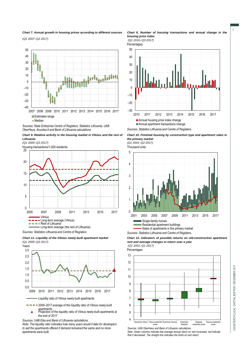*Chart 7. Annual growth in housing prices according to different sources*

*(Q1 2007–Q2 2017)*



*Sources: State Enterprise Centre of Registers, Statistics Lithuania, UAB OberHaus, Aruodas.lt and Bank of Lithuania calculations.*



*(Q1 2005–Q3 2017)*

Housing transactions/1,000 residents







 $\rightarrow$   $\rightarrow$   $\rightarrow$  2009–2017 average of the liquidity ratio of Vilnius newly-built

apartments Projection of the liquidity ratio of Vilnius newly-built apartments at Â the end of 2017

*Sources: UAB Eika and Bank of Lithuania calculations.*

*Note: The liquidity ratio indicates how many years would it take for developers to sell the apartments offered if demand remained the same and no more apartments were built.*



*(Q1 2010–Q3 2017)*

Percentages



*Sources: Statistics Lithuania and Centre of Registers.*

*Chart 10. Finished housing by construction type and apartment sales in the primary market* 

*(Q1 2001–Q2 2017)*

Thousand units



*Sources: Statistics Lithuania and Centre of Registers.*

*Chart 12. Indicators of possible returns on old-construction apartment rent and average changes in return over a year (Q1 2001–Q1 2017)*

Percentages



*Sources: UAB OberHaus and Bank of Lithuania calculations. Note: Green columns indicate that average annual return on rent increased, red indicate that it decreased. The straight line indicates the limits on rent return.*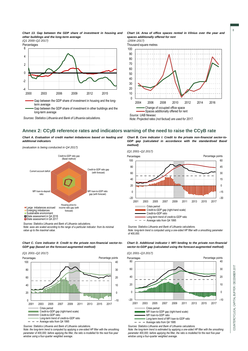

*(Q1 2000–Q2 2017)*



Gap between the GDP share of investment in other buildings and the long-term average

*Sources: Statistics Lithuania and Bank of Lithuania calculations.*

*Chart 14. Area of office spaces rented in Vilnius over the year and spaces additionally offered for rent (2004–2017)*



*Note: Projected rates (not factual) are used for 2017.*

#### **Annex 2: CCyB reference rates and indicators warning of the need to raise the CCyB rate**

*Chart A. Evaluation of credit market imbalances based on leading and additional indicators*

*(evaluation is being conducted in Q4 2017)*



*Note: axes are scaled according to the range of a particular indicator: from its minimal value up to the maximal value.*



*(Q1 2001–Q2 2017)*



*Sources: Statistics Lithuania and Bank of Lithuania calculations.*

*Note: the long-term trend is computed by applying a one-sided HP filter with the smoothing*  parameter of 400,000; before applying the filter, the ratio is modelled for the next five-year *window using a four-quarter weighted average.*

*Chart В. Core indicator I: Credit to the private non-financial sector-to-GDP gap (calculated in accordance with the standardised Basel method)*



*Sources: Statistics Lithuania and Bank of Lithuania calculations. Note: long-term trend is computed using a one-sided HP filter with a smoothing parameter of 400,000.* 

*Chart D. Additional indicator I: MFI lending to the private non-financial sector-to-GDP gap (calculated using the forecast-augmented method)*



 $- -$  Average ratio from Q4 1995

*Sources: Statistics Lithuania and Bank of Lithuania calculations. Note: the long-term trend is estimated by applying a one-sided HP filter with the smoothing parameter 400,000; before applying the filter, the ratio is modelled for the next five-year window using a four-quarter weighted average.*